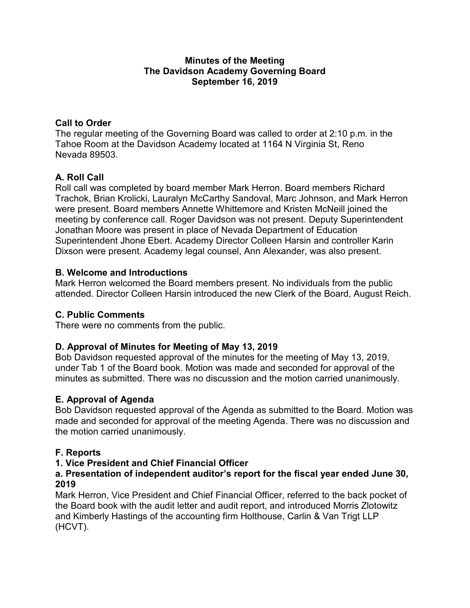#### **Minutes of the Meeting The Davidson Academy Governing Board September 16, 2019**

# **Call to Order**

The regular meeting of the Governing Board was called to order at 2:10 p.m. in the Tahoe Room at the Davidson Academy located at 1164 N Virginia St, Reno Nevada 89503.

# **A. Roll Call**

Roll call was completed by board member Mark Herron. Board members Richard Trachok, Brian Krolicki, Lauralyn McCarthy Sandoval, Marc Johnson, and Mark Herron were present. Board members Annette Whittemore and Kristen McNeill joined the meeting by conference call. Roger Davidson was not present. Deputy Superintendent Jonathan Moore was present in place of Nevada Department of Education Superintendent Jhone Ebert. Academy Director Colleen Harsin and controller Karin Dixson were present. Academy legal counsel, Ann Alexander, was also present.

### **B. Welcome and Introductions**

Mark Herron welcomed the Board members present. No individuals from the public attended. Director Colleen Harsin introduced the new Clerk of the Board, August Reich.

# **C. Public Comments**

There were no comments from the public.

# **D. Approval of Minutes for Meeting of May 13, 2019**

Bob Davidson requested approval of the minutes for the meeting of May 13, 2019, under Tab 1 of the Board book. Motion was made and seconded for approval of the minutes as submitted. There was no discussion and the motion carried unanimously.

#### **E. Approval of Agenda**

Bob Davidson requested approval of the Agenda as submitted to the Board. Motion was made and seconded for approval of the meeting Agenda. There was no discussion and the motion carried unanimously.

# **F. Reports**

#### **1. Vice President and Chief Financial Officer**

#### **a. Presentation of independent auditor's report for the fiscal year ended June 30, 2019**

Mark Herron, Vice President and Chief Financial Officer, referred to the back pocket of the Board book with the audit letter and audit report, and introduced Morris Zlotowitz and Kimberly Hastings of the accounting firm Holthouse, Carlin & Van Trigt LLP (HCVT).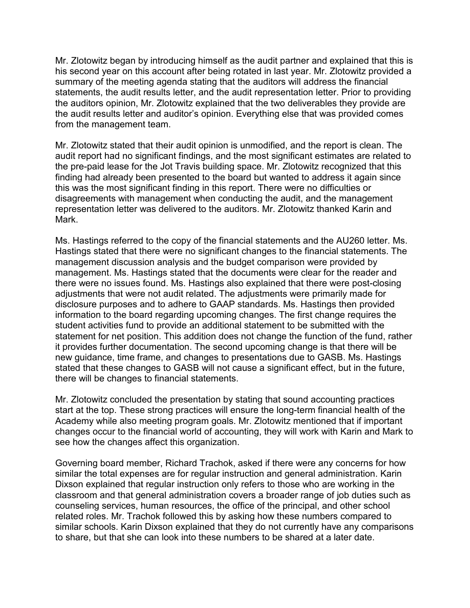Mr. Zlotowitz began by introducing himself as the audit partner and explained that this is his second year on this account after being rotated in last year. Mr. Zlotowitz provided a summary of the meeting agenda stating that the auditors will address the financial statements, the audit results letter, and the audit representation letter. Prior to providing the auditors opinion, Mr. Zlotowitz explained that the two deliverables they provide are the audit results letter and auditor's opinion. Everything else that was provided comes from the management team.

Mr. Zlotowitz stated that their audit opinion is unmodified, and the report is clean. The audit report had no significant findings, and the most significant estimates are related to the pre-paid lease for the Jot Travis building space. Mr. Zlotowitz recognized that this finding had already been presented to the board but wanted to address it again since this was the most significant finding in this report. There were no difficulties or disagreements with management when conducting the audit, and the management representation letter was delivered to the auditors. Mr. Zlotowitz thanked Karin and Mark.

Ms. Hastings referred to the copy of the financial statements and the AU260 letter. Ms. Hastings stated that there were no significant changes to the financial statements. The management discussion analysis and the budget comparison were provided by management. Ms. Hastings stated that the documents were clear for the reader and there were no issues found. Ms. Hastings also explained that there were post-closing adjustments that were not audit related. The adjustments were primarily made for disclosure purposes and to adhere to GAAP standards. Ms. Hastings then provided information to the board regarding upcoming changes. The first change requires the student activities fund to provide an additional statement to be submitted with the statement for net position. This addition does not change the function of the fund, rather it provides further documentation. The second upcoming change is that there will be new guidance, time frame, and changes to presentations due to GASB. Ms. Hastings stated that these changes to GASB will not cause a significant effect, but in the future, there will be changes to financial statements.

Mr. Zlotowitz concluded the presentation by stating that sound accounting practices start at the top. These strong practices will ensure the long-term financial health of the Academy while also meeting program goals. Mr. Zlotowitz mentioned that if important changes occur to the financial world of accounting, they will work with Karin and Mark to see how the changes affect this organization.

Governing board member, Richard Trachok, asked if there were any concerns for how similar the total expenses are for regular instruction and general administration. Karin Dixson explained that regular instruction only refers to those who are working in the classroom and that general administration covers a broader range of job duties such as counseling services, human resources, the office of the principal, and other school related roles. Mr. Trachok followed this by asking how these numbers compared to similar schools. Karin Dixson explained that they do not currently have any comparisons to share, but that she can look into these numbers to be shared at a later date.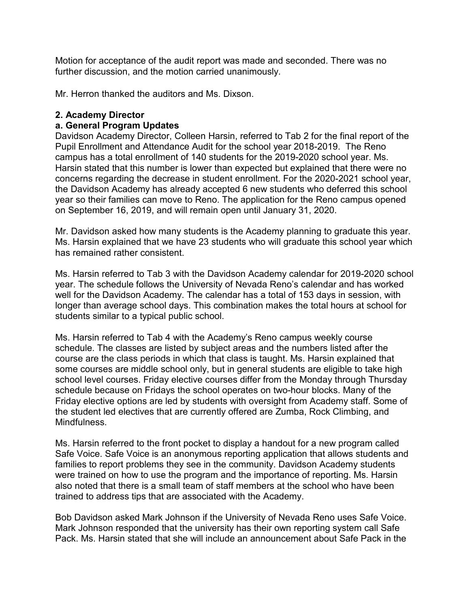Motion for acceptance of the audit report was made and seconded. There was no further discussion, and the motion carried unanimously.

Mr. Herron thanked the auditors and Ms. Dixson.

#### **2. Academy Director**

#### **a. General Program Updates**

Davidson Academy Director, Colleen Harsin, referred to Tab 2 for the final report of the Pupil Enrollment and Attendance Audit for the school year 2018-2019. The Reno campus has a total enrollment of 140 students for the 2019-2020 school year. Ms. Harsin stated that this number is lower than expected but explained that there were no concerns regarding the decrease in student enrollment. For the 2020-2021 school year, the Davidson Academy has already accepted 6 new students who deferred this school year so their families can move to Reno. The application for the Reno campus opened on September 16, 2019, and will remain open until January 31, 2020.

Mr. Davidson asked how many students is the Academy planning to graduate this year. Ms. Harsin explained that we have 23 students who will graduate this school year which has remained rather consistent.

Ms. Harsin referred to Tab 3 with the Davidson Academy calendar for 2019-2020 school year. The schedule follows the University of Nevada Reno's calendar and has worked well for the Davidson Academy. The calendar has a total of 153 days in session, with longer than average school days. This combination makes the total hours at school for students similar to a typical public school.

Ms. Harsin referred to Tab 4 with the Academy's Reno campus weekly course schedule. The classes are listed by subject areas and the numbers listed after the course are the class periods in which that class is taught. Ms. Harsin explained that some courses are middle school only, but in general students are eligible to take high school level courses. Friday elective courses differ from the Monday through Thursday schedule because on Fridays the school operates on two-hour blocks. Many of the Friday elective options are led by students with oversight from Academy staff. Some of the student led electives that are currently offered are Zumba, Rock Climbing, and Mindfulness.

Ms. Harsin referred to the front pocket to display a handout for a new program called Safe Voice. Safe Voice is an anonymous reporting application that allows students and families to report problems they see in the community. Davidson Academy students were trained on how to use the program and the importance of reporting. Ms. Harsin also noted that there is a small team of staff members at the school who have been trained to address tips that are associated with the Academy.

Bob Davidson asked Mark Johnson if the University of Nevada Reno uses Safe Voice. Mark Johnson responded that the university has their own reporting system call Safe Pack. Ms. Harsin stated that she will include an announcement about Safe Pack in the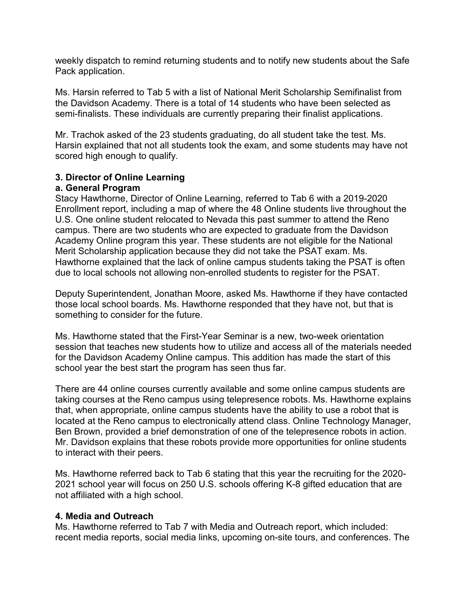weekly dispatch to remind returning students and to notify new students about the Safe Pack application.

Ms. Harsin referred to Tab 5 with a list of National Merit Scholarship Semifinalist from the Davidson Academy. There is a total of 14 students who have been selected as semi-finalists. These individuals are currently preparing their finalist applications.

Mr. Trachok asked of the 23 students graduating, do all student take the test. Ms. Harsin explained that not all students took the exam, and some students may have not scored high enough to qualify.

# **3. Director of Online Learning**

### **a. General Program**

Stacy Hawthorne, Director of Online Learning, referred to Tab 6 with a 2019-2020 Enrollment report, including a map of where the 48 Online students live throughout the U.S. One online student relocated to Nevada this past summer to attend the Reno campus. There are two students who are expected to graduate from the Davidson Academy Online program this year. These students are not eligible for the National Merit Scholarship application because they did not take the PSAT exam. Ms. Hawthorne explained that the lack of online campus students taking the PSAT is often due to local schools not allowing non-enrolled students to register for the PSAT.

Deputy Superintendent, Jonathan Moore, asked Ms. Hawthorne if they have contacted those local school boards. Ms. Hawthorne responded that they have not, but that is something to consider for the future.

Ms. Hawthorne stated that the First-Year Seminar is a new, two-week orientation session that teaches new students how to utilize and access all of the materials needed for the Davidson Academy Online campus. This addition has made the start of this school year the best start the program has seen thus far.

There are 44 online courses currently available and some online campus students are taking courses at the Reno campus using telepresence robots. Ms. Hawthorne explains that, when appropriate, online campus students have the ability to use a robot that is located at the Reno campus to electronically attend class. Online Technology Manager, Ben Brown, provided a brief demonstration of one of the telepresence robots in action. Mr. Davidson explains that these robots provide more opportunities for online students to interact with their peers.

Ms. Hawthorne referred back to Tab 6 stating that this year the recruiting for the 2020- 2021 school year will focus on 250 U.S. schools offering K-8 gifted education that are not affiliated with a high school.

#### **4. Media and Outreach**

Ms. Hawthorne referred to Tab 7 with Media and Outreach report, which included: recent media reports, social media links, upcoming on-site tours, and conferences. The